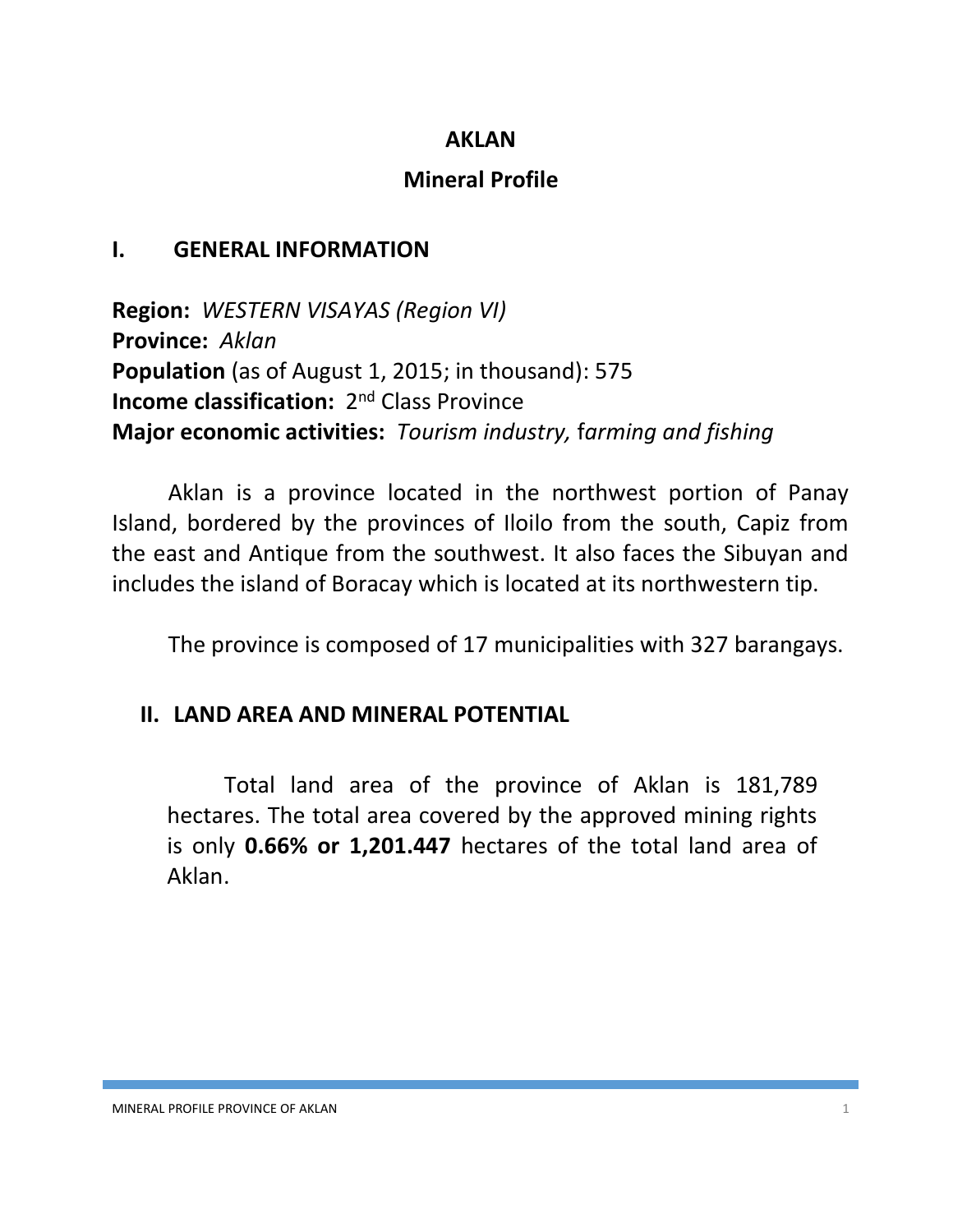#### **AKLAN**

### **Mineral Profile**

### **I. GENERAL INFORMATION**

**Region:** *WESTERN VISAYAS (Region VI)* **Province:** *Aklan* **Population** (as of August 1, 2015; in thousand): 575 **Income classification:** 2<sup>nd</sup> Class Province **Major economic activities:** *Tourism industry,* f*arming and fishing*

Aklan is a province located in the northwest portion of Panay Island, bordered by the provinces of Iloilo from the south, Capiz from the east and Antique from the southwest. It also faces the Sibuyan and includes the island of Boracay which is located at its northwestern tip.

The province is composed of 17 municipalities with 327 barangays.

### **II. LAND AREA AND MINERAL POTENTIAL**

Total land area of the province of Aklan is 181,789 hectares. The total area covered by the approved mining rights is only **0.66% or 1,201.447** hectares of the total land area of Aklan.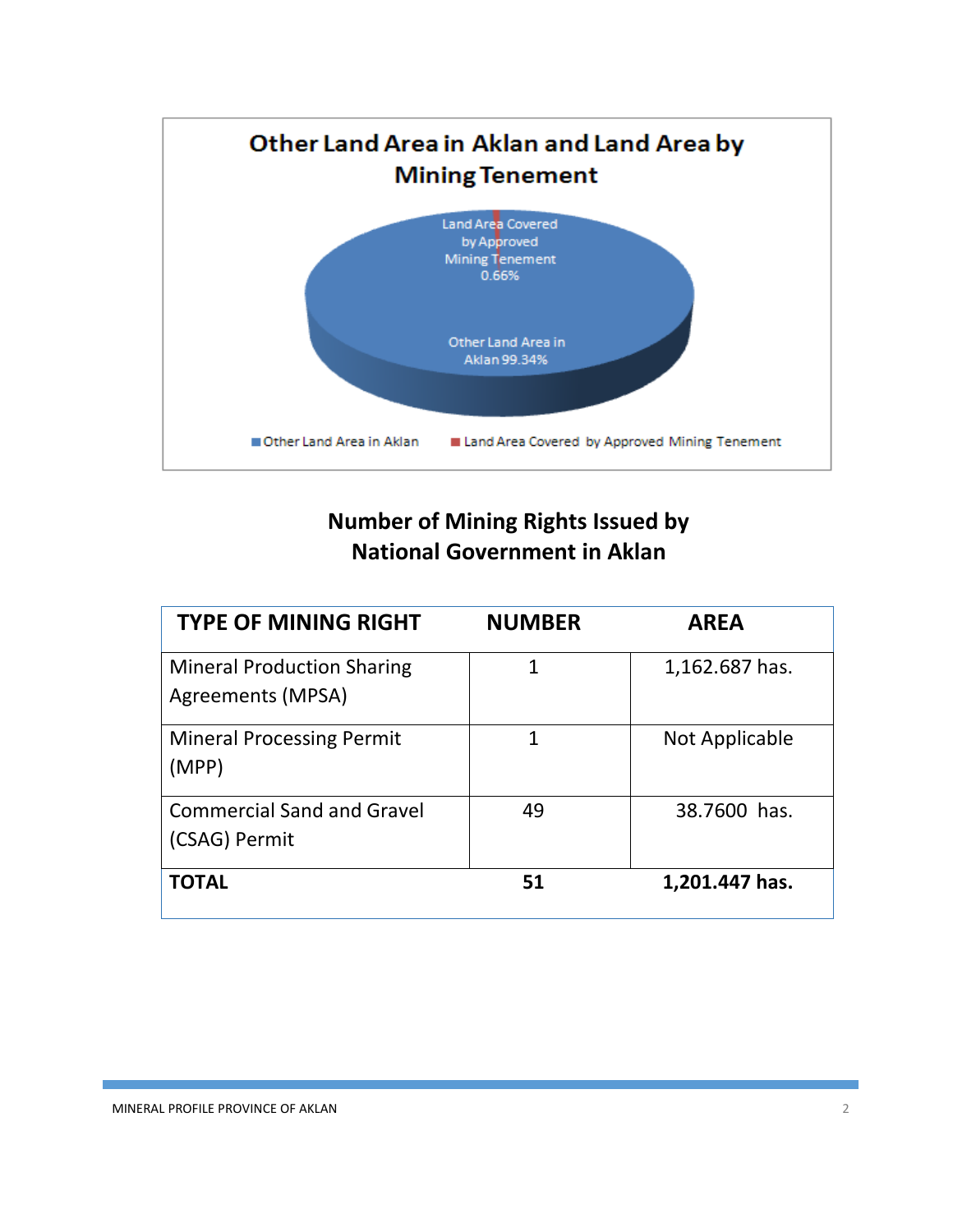

# **Number of Mining Rights Issued by National Government in Aklan**

| <b>TYPE OF MINING RIGHT</b>                            | <b>NUMBER</b> | <b>AREA</b>    |
|--------------------------------------------------------|---------------|----------------|
| <b>Mineral Production Sharing</b><br>Agreements (MPSA) | 1             | 1,162.687 has. |
| <b>Mineral Processing Permit</b><br>(MPP)              | 1             | Not Applicable |
| <b>Commercial Sand and Gravel</b><br>(CSAG) Permit     | 49            | 38.7600 has.   |
| <b>TOTAL</b>                                           | 51            | 1,201.447 has. |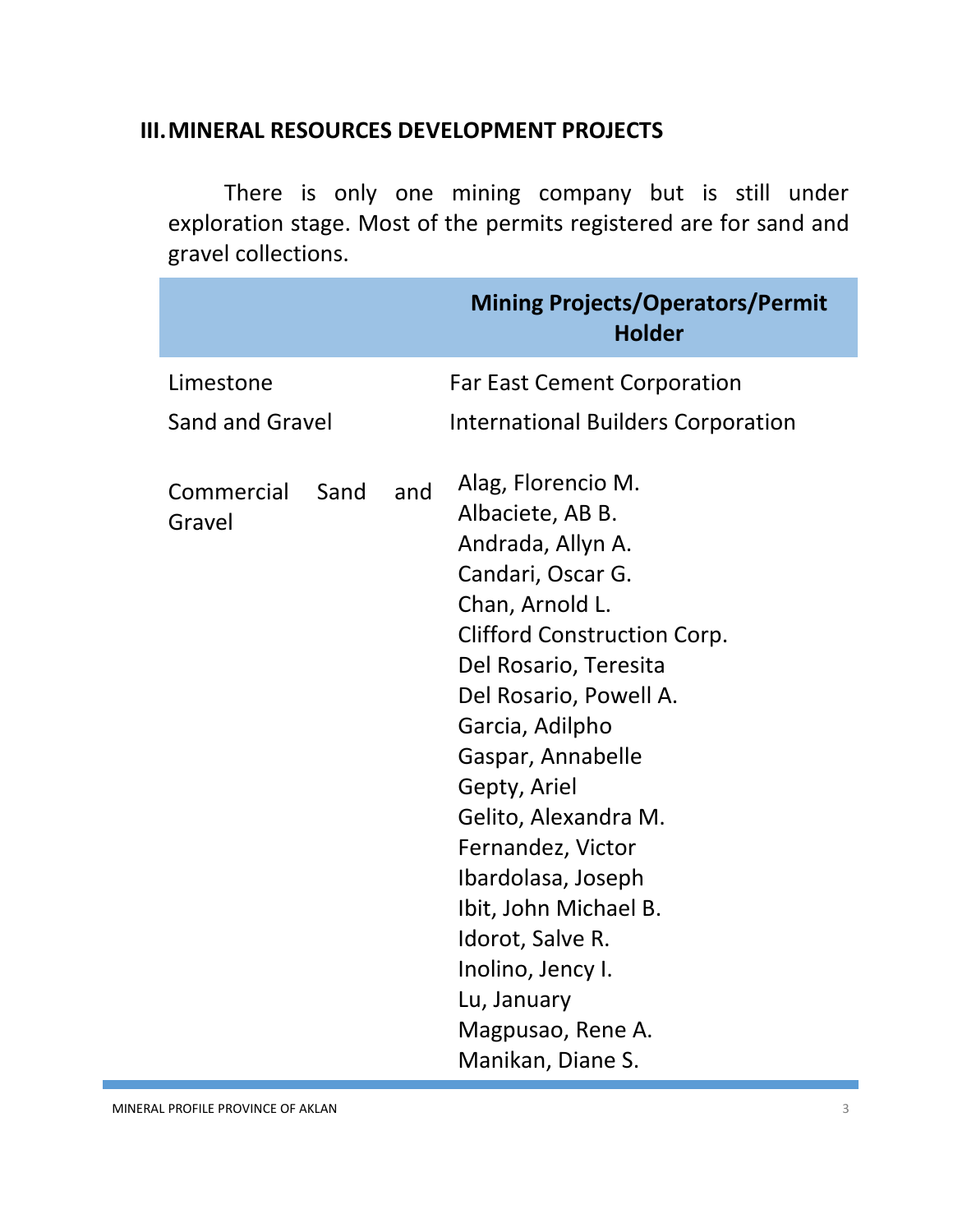#### **III.MINERAL RESOURCES DEVELOPMENT PROJECTS**

There is only one mining company but is still under exploration stage. Most of the permits registered are for sand and gravel collections.

|                        |      |     | <b>Mining Projects/Operators/Permit</b><br><b>Holder</b>                                                                                                                                                                                                                                                                                                                                                                                           |
|------------------------|------|-----|----------------------------------------------------------------------------------------------------------------------------------------------------------------------------------------------------------------------------------------------------------------------------------------------------------------------------------------------------------------------------------------------------------------------------------------------------|
| Limestone              |      |     | <b>Far East Cement Corporation</b>                                                                                                                                                                                                                                                                                                                                                                                                                 |
| <b>Sand and Gravel</b> |      |     | <b>International Builders Corporation</b>                                                                                                                                                                                                                                                                                                                                                                                                          |
| Commercial<br>Gravel   | Sand | and | Alag, Florencio M.<br>Albaciete, AB B.<br>Andrada, Allyn A.<br>Candari, Oscar G.<br>Chan, Arnold L.<br><b>Clifford Construction Corp.</b><br>Del Rosario, Teresita<br>Del Rosario, Powell A.<br>Garcia, Adilpho<br>Gaspar, Annabelle<br>Gepty, Ariel<br>Gelito, Alexandra M.<br>Fernandez, Victor<br>Ibardolasa, Joseph<br>Ibit, John Michael B.<br>Idorot, Salve R.<br>Inolino, Jency I.<br>Lu, January<br>Magpusao, Rene A.<br>Manikan, Diane S. |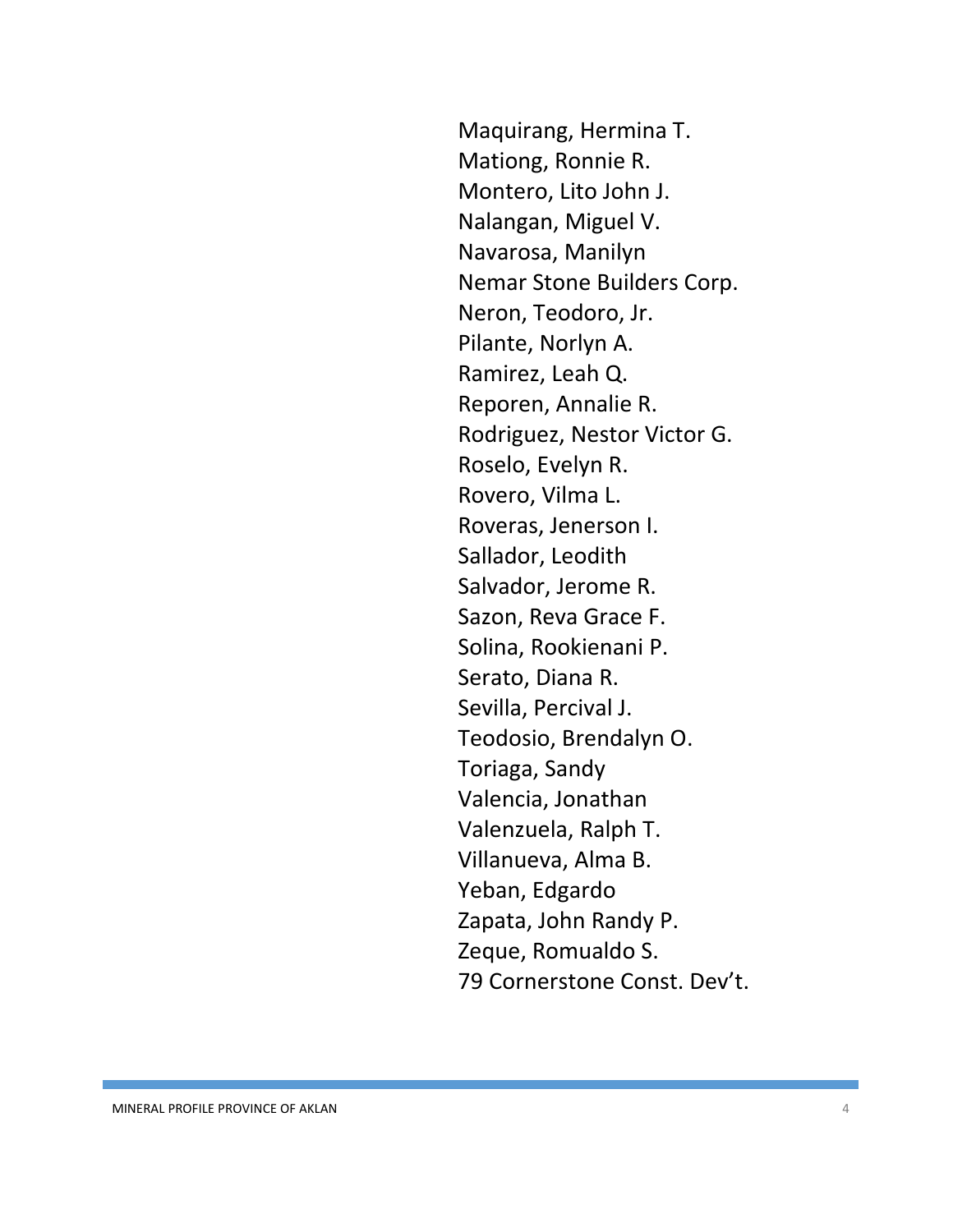Maquirang, Hermina T. Mationg, Ronnie R. Montero, Lito John J. Nalangan, Miguel V. Navarosa, Manilyn Nemar Stone Builders Corp. Neron, Teodoro, Jr. Pilante, Norlyn A. Ramirez, Leah Q. Reporen, Annalie R. Rodriguez, Nestor Victor G. Roselo, Evelyn R. Rovero, Vilma L. Roveras, Jenerson I. Sallador, Leodith Salvador, Jerome R. Sazon, Reva Grace F. Solina, Rookienani P. Serato, Diana R. Sevilla, Percival J. Teodosio, Brendalyn O. Toriaga, Sandy Valencia, Jonathan Valenzuela, Ralph T. Villanueva, Alma B. Yeban, Edgardo Zapata, John Randy P. Zeque, Romualdo S. 79 Cornerstone Const. Dev't.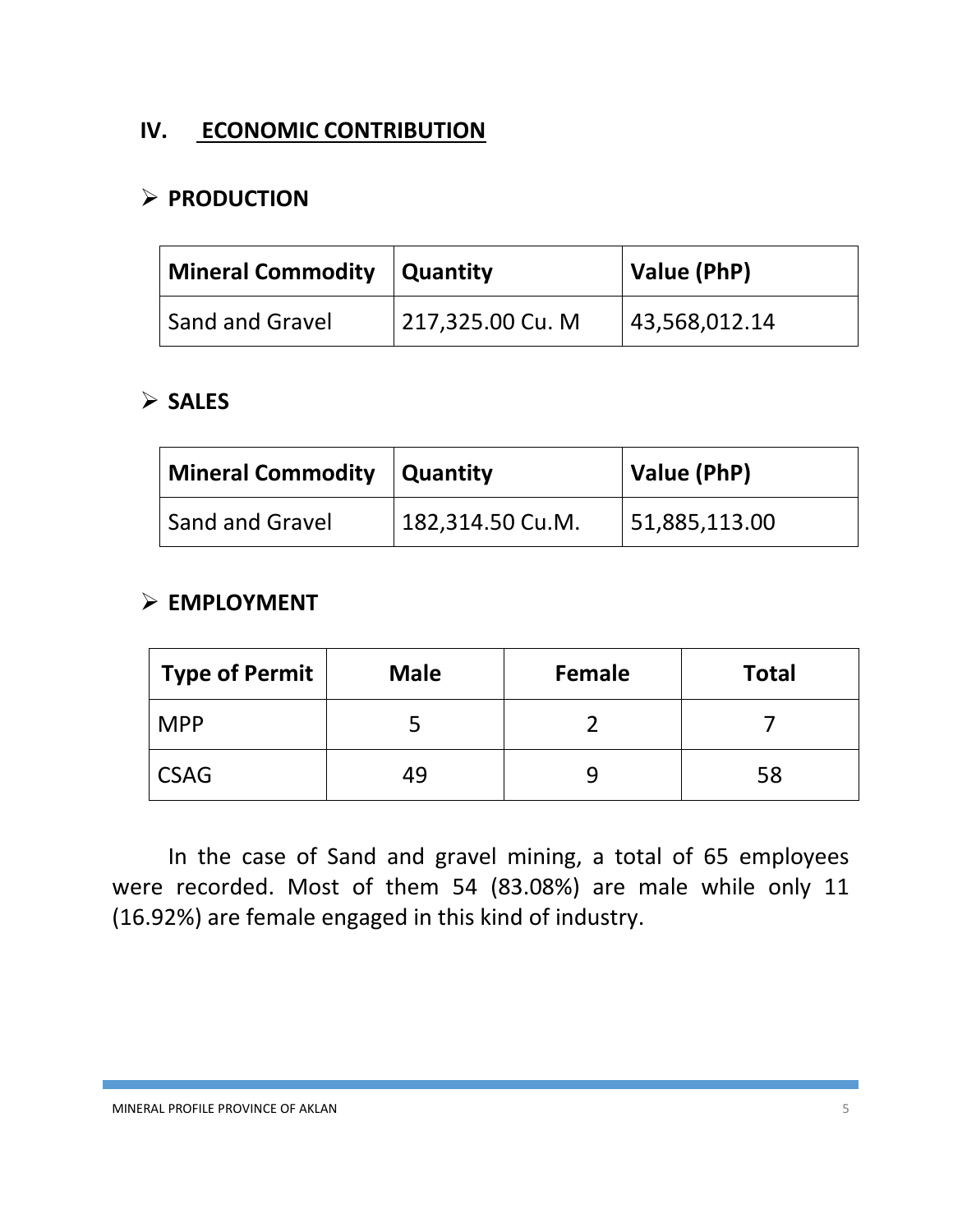## **IV. ECONOMIC CONTRIBUTION**

## **PRODUCTION**

| Mineral Commodity   Quantity |                  | Value (PhP)   |  |
|------------------------------|------------------|---------------|--|
| Sand and Gravel              | 217,325.00 Cu. M | 43,568,012.14 |  |

#### **SALES**

| Mineral Commodity   Quantity |                  | <b>Value (PhP)</b> |  |
|------------------------------|------------------|--------------------|--|
| Sand and Gravel              | 182,314.50 Cu.M. | 51,885,113.00      |  |

#### **EMPLOYMENT**

| <b>Type of Permit</b> | <b>Male</b> | Female | <b>Total</b> |
|-----------------------|-------------|--------|--------------|
| <b>MPP</b>            |             |        |              |
| <b>CSAG</b>           | 49          |        | 58           |

In the case of Sand and gravel mining, a total of 65 employees were recorded. Most of them 54 (83.08%) are male while only 11 (16.92%) are female engaged in this kind of industry.